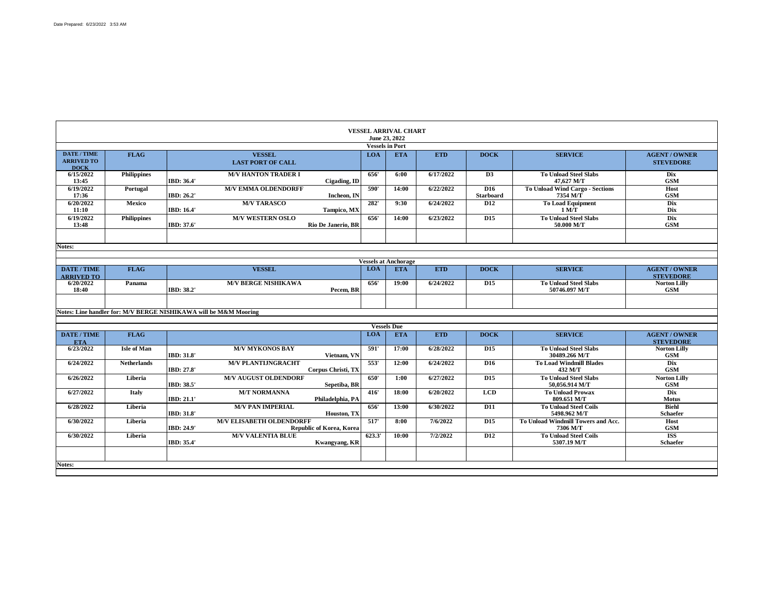Г

|                                                        |                    |                   |                                                                  |                  | <b>VESSEL ARRIVAL CHART</b><br>June 23, 2022 |            |                                     |                                                    |                                          |
|--------------------------------------------------------|--------------------|-------------------|------------------------------------------------------------------|------------------|----------------------------------------------|------------|-------------------------------------|----------------------------------------------------|------------------------------------------|
|                                                        |                    |                   |                                                                  |                  | <b>Vessels in Port</b>                       |            |                                     |                                                    |                                          |
| <b>DATE / TIME</b><br><b>ARRIVED TO</b><br><b>DOCK</b> | <b>FLAG</b>        |                   | <b>VESSEL</b><br><b>LAST PORT OF CALL</b>                        | <b>LOA</b>       | <b>ETA</b>                                   | <b>ETD</b> | <b>DOCK</b>                         | <b>SERVICE</b>                                     | <b>AGENT / OWNER</b><br><b>STEVEDORE</b> |
| 6/15/2022<br>13:45                                     | <b>Philippines</b> | IBD: 36.4'        | <b>M/V HANTON TRADER I</b><br>Cigading, ID                       | 656'             | 6:00                                         | 6/17/2022  | D3                                  | <b>To Unload Steel Slabs</b><br>47,627 M/T         |                                          |
| 6/19/2022<br>17:36                                     | Portugal           | IBD: 26.2'        | <b>M/V EMMA OLDENDORFF</b><br>Incheon. IN                        | 590'             | 14:00                                        | 6/22/2022  | D <sub>16</sub><br><b>Starboard</b> | <b>To Unload Wind Cargo - Sections</b><br>7354 M/T |                                          |
| 6/20/2022<br>11:10                                     | <b>Mexico</b>      | <b>IBD: 16.4'</b> | <b>M/V TARASCO</b><br>Tampico, MX                                | 282'             | 9:30                                         | 6/24/2022  | D <sub>12</sub>                     | <b>To Load Equipment</b><br>1 M/T                  |                                          |
| 6/19/2022<br>13:48                                     | <b>Philippines</b> | IBD: 37.6'        | <b>M/V WESTERN OSLO</b><br><b>Rio De Janerio, BR</b>             | 656'             | 14:00                                        | 6/23/2022  | $\overline{D15}$                    | <b>To Unload Steel Slabs</b><br>50.000 M/T         |                                          |
| <b>Notes:</b>                                          |                    |                   |                                                                  |                  |                                              |            |                                     |                                                    |                                          |
|                                                        |                    |                   |                                                                  |                  | <b>Vessels at Anchorage</b>                  |            |                                     |                                                    |                                          |
| <b>DATE / TIME</b><br><b>ARRIVED TO</b>                | <b>FLAG</b>        |                   | <b>VESSEL</b>                                                    | <b>LOA</b>       | <b>ETA</b>                                   | <b>ETD</b> | <b>DOCK</b>                         | <b>SERVICE</b>                                     | <b>AGENT / OWNER</b><br><b>STEVEDORE</b> |
| 6/20/2022<br>18:40                                     | Panama             | IBD: 38.2'        | <b>M/V BERGE NISHIKAWA</b><br>Pecem. BR                          | 656'             | 19:00                                        | 6/24/2022  | D <sub>15</sub>                     | <b>To Unload Steel Slabs</b><br>50746.097 M/T      | <b>Norton Lilly</b>                      |
|                                                        |                    |                   | Notes: Line handler for: M/V BERGE NISHIKAWA will be M&M Mooring |                  |                                              |            |                                     |                                                    |                                          |
|                                                        |                    |                   |                                                                  |                  | <b>Vessels Due</b>                           |            |                                     |                                                    |                                          |
| DATE / TIME<br><b>ETA</b>                              | <b>FLAG</b>        |                   |                                                                  | <b>LOA</b>       | <b>ETA</b>                                   | <b>ETD</b> | <b>DOCK</b>                         | <b>SERVICE</b>                                     | <b>AGENT / OWNER</b><br><b>STEVEDORE</b> |
| 6/23/2022                                              | <b>Isle of Man</b> | IBD: 31.8'        | <b>M/V MYKONOS BAY</b><br>Vietnam, VN                            | 591'             | 17:00                                        | 6/28/2022  | D <sub>15</sub>                     | <b>To Unload Steel Slabs</b><br>30489.266 M/T      | <b>Norton Lilly</b>                      |
| 6/24/2022                                              | <b>Netherlands</b> | IBD: 27.8'        | <b>M/V PLANTIJNGRACHT</b><br>Corpus Christi, TX                  | 553'             | 12:00                                        | 6/24/2022  | D <sub>16</sub>                     | <b>To Load Windmill Blades</b><br>432 M/T          |                                          |
| 6/26/2022                                              | Liberia            | IBD: 38.5'        | <b>M/V AUGUST OLDENDORF</b><br>Sepetiba, BR                      | 650'             | 1:00                                         | 6/27/2022  | D <sub>15</sub>                     | <b>To Unload Steel Slabs</b><br>50.056.914 M/T     | <b>Norton Lilly</b>                      |
| 6/27/2022                                              | Italy              | IBD: 21.1'        | <b>M/T NORMANNA</b><br>Philadelphia, PA                          | 416'             | 18:00                                        | 6/20/2022  | <b>LCD</b>                          | <b>To Unload Prowax</b><br>809.651 M/T             |                                          |
| 6/28/2022                                              | Liberia            | IBD: 31.8'        | <b>M/V PAN IMPERIAL</b><br>Houston, TX                           | 656'             | 13:00                                        | 6/30/2022  | <b>D11</b>                          | <b>To Unload Steel Coils</b><br>5498.962 M/T       | <b>Schaefer</b>                          |
| 6/30/2022                                              | Liberia            | IBD: 24.9'        | <b>M/V ELISABETH OLDENDORFF</b><br>Republic of Korea, Korea      | $\overline{517}$ | 8:00                                         | 7/6/2022   | D <sub>15</sub>                     | To Unload Windmill Towers and Acc.<br>7306 M/T     |                                          |
| 6/30/2022                                              | Liberia            | IBD: 35.4'        | <b>M/V VALENTIA BLUE</b><br>Kwangyang, KR                        | 623.3'           | 10:00                                        | 7/2/2022   | <b>D12</b>                          | <b>To Unload Steel Coils</b><br>5307.19 M/T        | <b>Schaefer</b>                          |
|                                                        |                    |                   |                                                                  |                  |                                              |            |                                     |                                                    |                                          |
| Notes:                                                 |                    |                   |                                                                  |                  |                                              |            |                                     |                                                    |                                          |